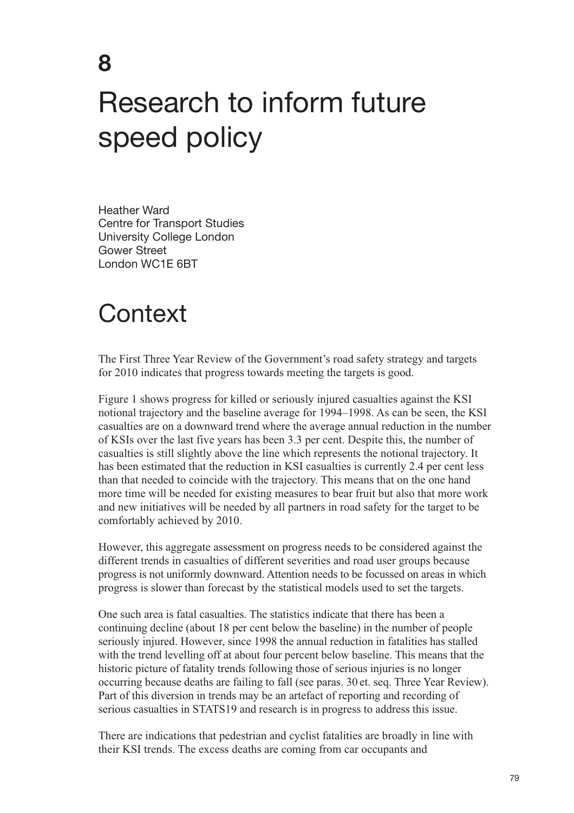#### **8**

# Research to inform future speed policy

Heather Ward Centre for Transport Studies University College London Gower Street London WC1E 6BT

### **Context**

The First Three Year Review of the Government's road safety strategy and targets for 2010 indicates that progress towards meeting the targets is good.

Figure 1 shows progress for killed or seriously injured casualties against the KSI notional trajectory and the baseline average for 1994–1998. As can be seen, the KSI casualties are on a downward trend where the average annual reduction in the number of KSIs over the last five years has been 3.3 per cent. Despite this, the number of casualties is still slightly above the line which represents the notional trajectory. It has been estimated that the reduction in KSI casualties is currently 2.4 per cent less than that needed to coincide with the trajectory. This means that on the one hand more time will be needed for existing measures to bear fruit but also that more work and new initiatives will be needed by all partners in road safety for the target to be comfortably achieved by 2010.

However, this aggregate assessment on progress needs to be considered against the different trends in casualties of different severities and road user groups because progress is not uniformly downward. Attention needs to be focussed on areas in which progress is slower than forecast by the statistical models used to set the targets.

One such area is fatal casualties. The statistics indicate that there has been a continuing decline (about 18 per cent below the baseline) in the number of people seriously injured. However, since 1998 the annual reduction in fatalities has stalled with the trend levelling off at about four percent below baseline. This means that the historic picture of fatality trends following those of serious injuries is no longer occurring because deaths are failing to fall (see paras. 30 et. seq. Three Year Review). Part of this diversion in trends may be an artefact of reporting and recording of serious casualties in STATS19 and research is in progress to address this issue.

There are indications that pedestrian and cyclist fatalities are broadly in line with their KSI trends. The excess deaths are coming from car occupants and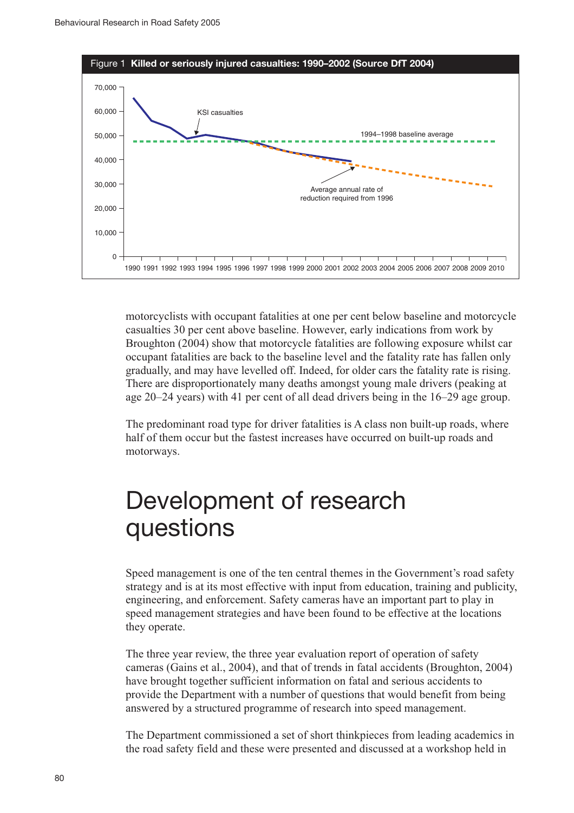

motorcyclists with occupant fatalities at one per cent below baseline and motorcycle casualties 30 per cent above baseline. However, early indications from work by Broughton (2004) show that motorcycle fatalities are following exposure whilst car occupant fatalities are back to the baseline level and the fatality rate has fallen only gradually, and may have levelled off. Indeed, for older cars the fatality rate is rising. There are disproportionately many deaths amongst young male drivers (peaking at age 20–24 years) with 41 per cent of all dead drivers being in the 16–29 age group.

The predominant road type for driver fatalities is A class non built-up roads, where half of them occur but the fastest increases have occurred on built-up roads and motorways.

## Development of research questions

Speed management is one of the ten central themes in the Government's road safety strategy and is at its most effective with input from education, training and publicity, engineering, and enforcement. Safety cameras have an important part to play in speed management strategies and have been found to be effective at the locations they operate.

The three year review, the three year evaluation report of operation of safety cameras (Gains et al., 2004), and that of trends in fatal accidents (Broughton, 2004) have brought together sufficient information on fatal and serious accidents to provide the Department with a number of questions that would benefit from being answered by a structured programme of research into speed management.

The Department commissioned a set of short thinkpieces from leading academics in the road safety field and these were presented and discussed at a workshop held in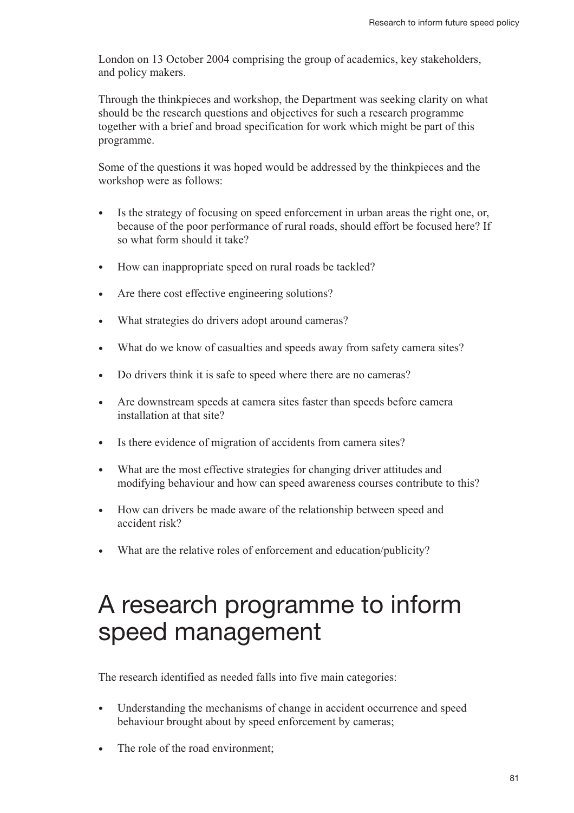London on 13 October 2004 comprising the group of academics, key stakeholders, and policy makers.

Through the thinkpieces and workshop, the Department was seeking clarity on what should be the research questions and objectives for such a research programme together with a brief and broad specification for work which might be part of this programme.

Some of the questions it was hoped would be addressed by the thinkpieces and the workshop were as follows:

- Is the strategy of focusing on speed enforcement in urban areas the right one, or, because of the poor performance of rural roads, should effort be focused here? If so what form should it take?
- How can inappropriate speed on rural roads be tackled?
- Are there cost effective engineering solutions?
- What strategies do drivers adopt around cameras?
- What do we know of casualties and speeds away from safety camera sites?
- Do drivers think it is safe to speed where there are no cameras?
- Are downstream speeds at camera sites faster than speeds before camera installation at that site?
- Is there evidence of migration of accidents from camera sites?
- What are the most effective strategies for changing driver attitudes and modifying behaviour and how can speed awareness courses contribute to this?
- How can drivers be made aware of the relationship between speed and accident risk?
- What are the relative roles of enforcement and education/publicity?

## A research programme to inform speed management

The research identified as needed falls into five main categories:

- Understanding the mechanisms of change in accident occurrence and speed behaviour brought about by speed enforcement by cameras;
- The role of the road environment: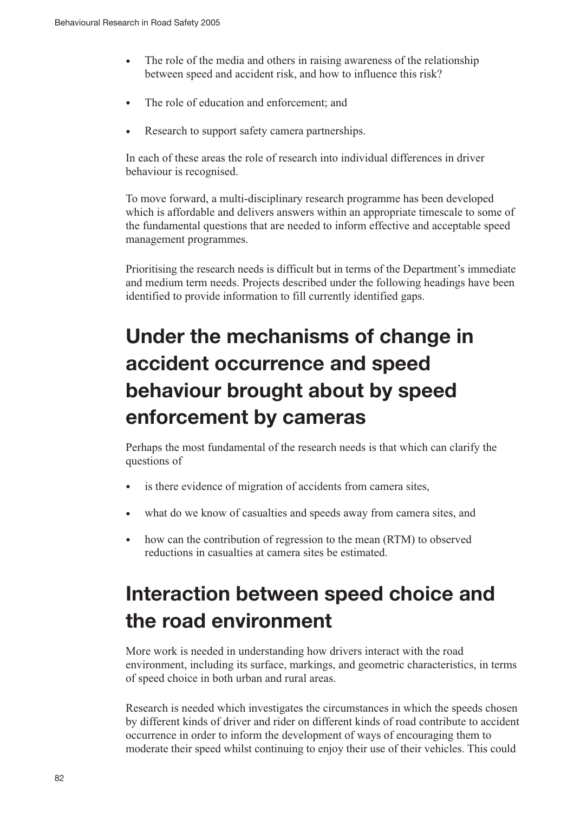- The role of the media and others in raising awareness of the relationship between speed and accident risk, and how to influence this risk?
- The role of education and enforcement; and
- Research to support safety camera partnerships.

In each of these areas the role of research into individual differences in driver behaviour is recognised.

To move forward, a multi-disciplinary research programme has been developed which is affordable and delivers answers within an appropriate timescale to some of the fundamental questions that are needed to inform effective and acceptable speed management programmes.

Prioritising the research needs is difficult but in terms of the Department's immediate and medium term needs. Projects described under the following headings have been identified to provide information to fill currently identified gaps.

### **Under the mechanisms of change in accident occurrence and speed behaviour brought about by speed enforcement by cameras**

Perhaps the most fundamental of the research needs is that which can clarify the questions of

- is there evidence of migration of accidents from camera sites,
- what do we know of casualties and speeds away from camera sites, and
- how can the contribution of regression to the mean (RTM) to observed reductions in casualties at camera sites be estimated.

#### **Interaction between speed choice and the road environment**

More work is needed in understanding how drivers interact with the road environment, including its surface, markings, and geometric characteristics, in terms of speed choice in both urban and rural areas.

Research is needed which investigates the circumstances in which the speeds chosen by different kinds of driver and rider on different kinds of road contribute to accident occurrence in order to inform the development of ways of encouraging them to moderate their speed whilst continuing to enjoy their use of their vehicles. This could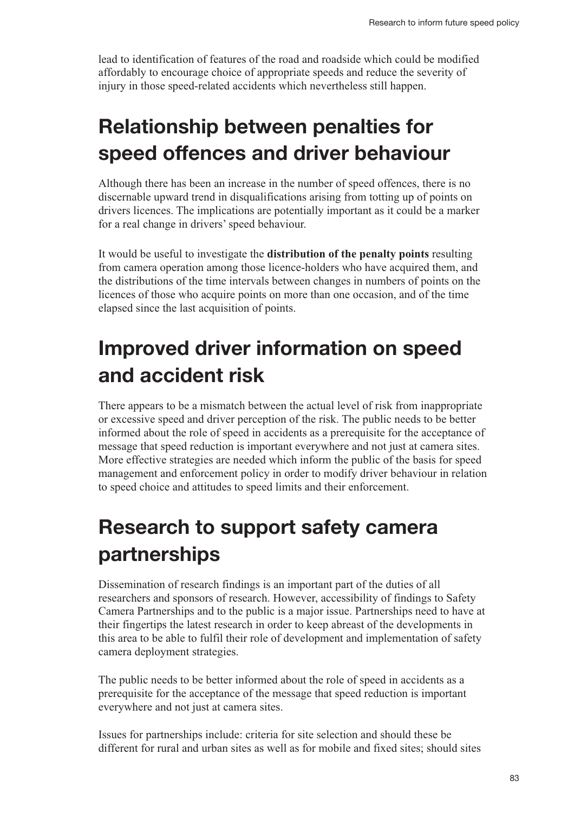lead to identification of features of the road and roadside which could be modified affordably to encourage choice of appropriate speeds and reduce the severity of injury in those speed-related accidents which nevertheless still happen.

#### **Relationship between penalties for speed offences and driver behaviour**

Although there has been an increase in the number of speed offences, there is no discernable upward trend in disqualifications arising from totting up of points on drivers licences. The implications are potentially important as it could be a marker for a real change in drivers' speed behaviour.

It would be useful to investigate the **distribution of the penalty points** resulting from camera operation among those licence-holders who have acquired them, and the distributions of the time intervals between changes in numbers of points on the licences of those who acquire points on more than one occasion, and of the time elapsed since the last acquisition of points.

#### **Improved driver information on speed and accident risk**

There appears to be a mismatch between the actual level of risk from inappropriate or excessive speed and driver perception of the risk. The public needs to be better informed about the role of speed in accidents as a prerequisite for the acceptance of message that speed reduction is important everywhere and not just at camera sites. More effective strategies are needed which inform the public of the basis for speed management and enforcement policy in order to modify driver behaviour in relation to speed choice and attitudes to speed limits and their enforcement.

#### **Research to support safety camera partnerships**

Dissemination of research findings is an important part of the duties of all researchers and sponsors of research. However, accessibility of findings to Safety Camera Partnerships and to the public is a major issue. Partnerships need to have at their fingertips the latest research in order to keep abreast of the developments in this area to be able to fulfil their role of development and implementation of safety camera deployment strategies.

The public needs to be better informed about the role of speed in accidents as a prerequisite for the acceptance of the message that speed reduction is important everywhere and not just at camera sites.

Issues for partnerships include: criteria for site selection and should these be different for rural and urban sites as well as for mobile and fixed sites; should sites